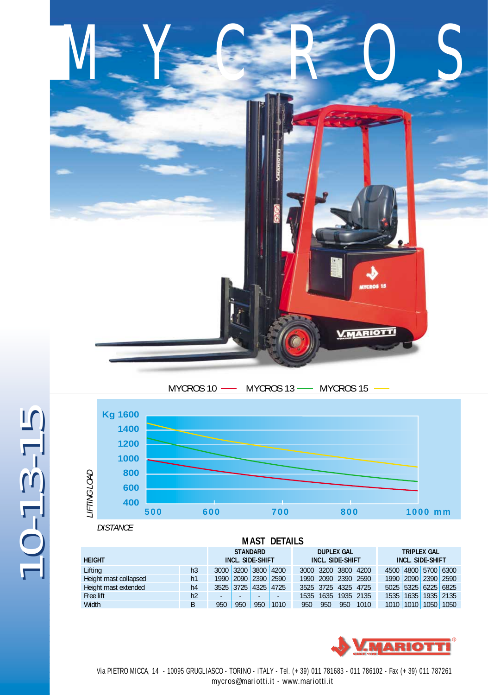

## MYCROS 10 - MYCROS 13 - MYCROS 15



*DISTANCE*

 $0 - 13 - 15$ 

| <b>MAST DETAILS</b>   |                |                                            |                     |     |                                              |      |      |                                               |           |  |           |                     |           |
|-----------------------|----------------|--------------------------------------------|---------------------|-----|----------------------------------------------|------|------|-----------------------------------------------|-----------|--|-----------|---------------------|-----------|
| <b>HEIGHT</b>         |                | <b>STANDARD</b><br><b>INCL. SIDE-SHIFT</b> |                     |     | <b>DUPLEX GAL</b><br><b>INCL. SIDE-SHIFT</b> |      |      | <b>TRIPLEX GAL</b><br><b>INCL. SIDE-SHIFT</b> |           |  |           |                     |           |
| Lifting               | h <sub>3</sub> |                                            | 3000 3200 3800 4200 |     |                                              |      |      | 3000 3200 3800 4200                           |           |  |           | 4500 4800 5700 6300 |           |
| Height mast collapsed | h1             |                                            | 1990 2090 2390 2590 |     |                                              |      |      | 1990 2090 2390 2590                           |           |  |           | 1990 2090 2390 2590 |           |
| Height mast extended  | h4             |                                            | 3525 3725 4325 4725 |     |                                              |      |      | 3525 3725 4325 4725                           |           |  |           | 5025 5325 6225 6825 |           |
| Free lift             | h2             |                                            | -                   | -   | $\overline{\phantom{a}}$                     | 1535 | 1635 |                                               | 1935 2135 |  |           | 1535 1635 1935 2135 |           |
| <b>Width</b>          | B              | 950                                        | 950                 | 950 | 1010                                         | 950  | 950  | 950                                           | 1010      |  | 1010 1010 |                     | 1050 1050 |



 Via PIETRO MICCA, 14 - 10095 GRUGLIASCO - TORINO - ITALY - Tel. (+ 39) 011 781683 - 011 786102 - Fax (+ 39) 011 787261 mycros@mariotti.it - www.mariotti.it